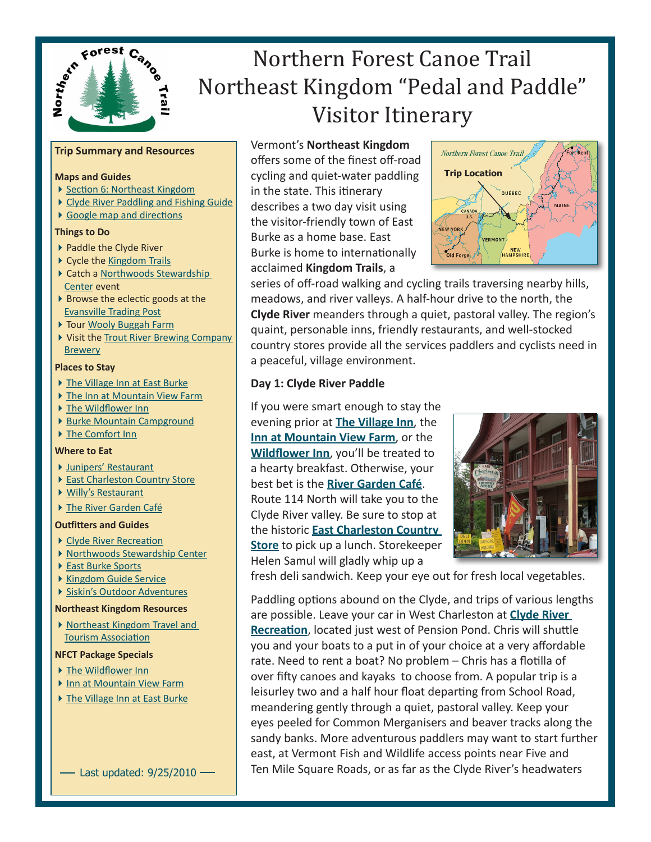

# Northern Forest Canoe Trail Northeast Kingdom "Pedal and Paddle" Visitor Itinerary

# **Trip Summary and Resources**

### **Maps and Guides**

- ▶ [Section 6: Northeast Kingdo](https://www.netforumondemand.com/eweb/shopping/shopping.aspx?pager=1&site=nfct&prd_key=e1eb5b34-288e-4f11-8de6-bea9e2a3feb5)m
- [Clyde River Paddling and Fishing Guid](http://www.northwoodscenter.org/book.html)e
- [Google map and direction](http://www.google.com/maps/ms?ie=UTF8&hl=en&msa=0&msid=101702952510914656175.0004787f7c60fafa30309&z=10)s

## **Things to Do**

- ▶ Paddle the Clyde River
- ▶ Cycle the [Kingdom Trail](http://northernforestcanoetrail.org/sitePages/tripPlanner.cfm?action=serviceDetails&serviceID=598§ionID=6)s
- ▶ Catch a Northwoods Stewardship [Center](http://northernforestcanoetrail.org/sitePages/tripPlanner.cfm?action=serviceDetails&serviceID=307§ionID=6) event
- ▶ Browse the eclectic goods at the [Evansville Trading Pos](http://northernforestcanoetrail.org/sitePages/tripPlanner.cfm?action=serviceDetails&serviceID=613§ionID=6)t
- ▶ Tour [Wooly Buggah Far](http://northernforestcanoetrail.org/sitePages/tripPlanner.cfm?action=serviceDetails&serviceID=599§ionID=6)m
- Visit the Trout River Brewing Company **[Brewer](http://northernforestcanoetrail.org/sitePages/tripPlanner.cfm?action=serviceDetails&serviceID=600§ionID=6)y**

#### **Places to Stay**

- ▶ The [Village Inn at East Burk](http://northernforestcanoetrail.org/sitePages/tripPlanner.cfm?action=serviceDetails&serviceID=601§ionID=6)e
- The [Inn at Mountain View Far](http://northernforestcanoetrail.org/sitePages/tripPlanner.cfm?action=serviceDetails&serviceID=609§ionID=6)m
- ▶ The [Wildflower Inn](http://northernforestcanoetrail.org/sitePages/tripPlanner.cfm?action=serviceDetails&serviceID=610§ionID=6)
- ▶ [Burke Mountain Campground](http://northernforestcanoetrail.org/sitePages/tripPlanner.cfm?action=serviceDetails&serviceID=607§ionID=6)
- ▶ [The Comfort In](http://northernforestcanoetrail.org/sitePages/tripPlanner.cfm?action=serviceDetails&serviceID=612§ionID=6)n

#### **Where to Eat**

- [Junipers' Restauran](http://http://www.junipersrestaurant.com/)t
- ▶ [East Charleston Country Stor](http://northernforestcanoetrail.org/sitePages/tripPlanner.cfm?action=serviceDetails&serviceID=606§ionID=6)e
- [Willy's Restauran](http://northernforestcanoetrail.org/sitePages/tripPlanner.cfm?action=serviceDetails&serviceID=608§ionID=6)t
- [The River Garden Caf](http://northernforestcanoetrail.org/sitePages/tripPlanner.cfm?action=serviceDetails&serviceID=602§ionID=6)é

#### **Outfitters and Guides**

- ▶ [Clyde River Recreatio](http://northernforestcanoetrail.org/sitePages/tripPlanner.cfm?action=serviceDetails&serviceID=559§ionID=6)n
- ▶ [Northwoods Stewardship Cente](http://northernforestcanoetrail.org/sitePages/tripPlanner.cfm?action=serviceDetails&serviceID=307§ionID=6)r
- ▶ [East Burke Sport](http://northernforestcanoetrail.org/sitePages/tripPlanner.cfm?action=serviceDetails&serviceID=307§ionID=6)s
- [Kingdom Guide Servic](http://northernforestcanoetrail.org/sitePages/tripPlanner.cfm?action=serviceDetails&serviceID=309§ionID=6)e
- [Siskin's Outdoor Adventure](http://northernforestcanoetrail.org/sitePages/tripPlanner.cfm?action=serviceDetails&serviceID=310§ionID=6)s

#### **Northeast Kingdom Resources**

▶ Northeast Kingdom Travel and [Tourism Associatio](http://northernforestcanoetrail.org/sitePages/tripPlanner.cfm?action=serviceDetails&serviceID=123§ionID=6)n

#### **NFCT Package Specials**

- ▶ [The Wildflower In](http://www.northernforestcanoetrail.org/media/NFCT%5FPedal%5FAnd%5FPaddle%5FPackage%2Epdf)n
- [Inn at Mountain View Farm](http://www.northernforestcanoetrail.org/media/NFCT%5FPedal%5FAnd%5FPaddle%5FPackage%2Epdf)
- ▶ [The Village Inn at East Burk](http://www.northernforestcanoetrail.org/media/NFCT%5FPedal%5FAnd%5FPaddle%5FPackage%2Epdf)e

- Last updated:  $9/25/2010$  —

Vermont's **Northeast Kingdom** 

offers some of the finest off-road cycling and quiet-water paddling in the state. This itinerary describes a two day visit using the visitor-friendly town of East Burke as a home base. East Burke is home to internationally acclaimed **Kingdom Trails**, a



series of off-road walking and cycling trails traversing nearby hills, meadows, and river valleys. A half-hour drive to the north, the **Clyde River** meanders through a quiet, pastoral valley. The region's quaint, personable inns, friendly restaurants, and well-stocked country stores provide all the services paddlers and cyclists need in a peaceful, village environment.

# **Day 1: Clyde River Paddle**

If you were smart enough to stay the evening prior at **The [Village Inn](http://northernforestcanoetrail.org/sitePages/tripPlanner.cfm?action=serviceDetails&serviceID=601§ionID=6)**, the **[Inn at Mountain View](http://northernforestcanoetrail.org/sitePages/tripPlanner.cfm?action=serviceDetails&serviceID=609§ionID=6) Farm**, or the **[Wildflower In](http://northernforestcanoetrail.org/sitePages/tripPlanner.cfm?action=serviceDetails&serviceID=610§ionID=6)n**, you'll be treated to a hearty breakfast. Otherwise, your best bet is the **[River Garden Café](http://northernforestcanoetrail.org/sitePages/tripPlanner.cfm?action=serviceDetails&serviceID=602§ionID=6)**. Route 114 North will take you to the Clyde River valley. Be sure to stop at the historic **[East Charleston Country](http://northernforestcanoetrail.org/sitePages/tripPlanner.cfm?action=serviceDetails&serviceID=606§ionID=6)  [Store](http://northernforestcanoetrail.org/sitePages/tripPlanner.cfm?action=serviceDetails&serviceID=606§ionID=6)** to pick up a lunch. Storekeeper Helen Samul will gladly whip up a



fresh deli sandwich. Keep your eye out for fresh local vegetables.

Paddling options abound on the Clyde, and trips of various lengths are possible. Leave your car in West Charleston at **[Clyde River](http://northernforestcanoetrail.org/sitePages/tripPlanner.cfm?action=serviceDetails&serviceID=559§ionID=6)  [Recreatio](http://northernforestcanoetrail.org/sitePages/tripPlanner.cfm?action=serviceDetails&serviceID=559§ionID=6)n**, located just west of Pension Pond. Chris will shuttle you and your boats to a put in of your choice at a very affordable rate. Need to rent a boat? No problem – Chris has a flotilla of over fifty canoes and kayaks to choose from. A popular trip is a leisurley two and a half hour float departing from School Road, meandering gently through a quiet, pastoral valley. Keep your eyes peeled for Common Merganisers and beaver tracks along the sandy banks. More adventurous paddlers may want to start further east, at Vermont Fish and Wildlife access points near Five and Ten Mile Square Roads, or as far as the Clyde River's headwaters